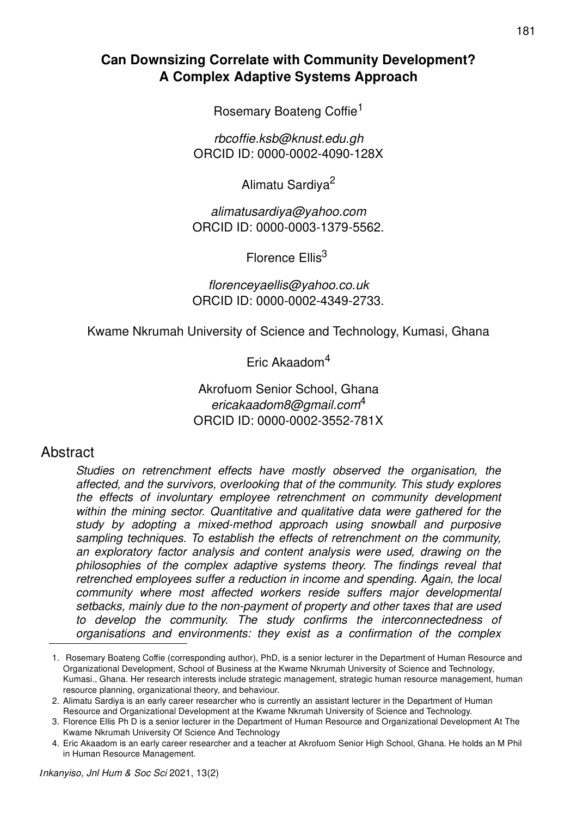# **Can Downsizing Correlate with Community Development? A Complex Adaptive Systems Approach**

Rosemary Boateng Coffie<sup>1</sup>

*rbcoffie.ksb@knust.edu.gh* ORCID ID: 0000-0002-4090-128X

Alimatu Sardiya<sup>2</sup>

*alimatusardiya@yahoo.com* ORCID ID: 0000-0003-1379-5562.

Florence Ellis<sup>3</sup>

*florenceyaellis@yahoo.co.uk* ORCID ID: 0000-0002-4349-2733.

Kwame Nkrumah University of Science and Technology, Kumasi, Ghana

Eric Akaadom<sup>4</sup>

## Akrofuom Senior School, Ghana *ericakaadom8@gmail.com*<sup>4</sup> ORCID ID: 0000-0002-3552-781X

# **Abstract**

*Studies on retrenchment effects have mostly observed the organisation, the affected, and the survivors, overlooking that of the community. This study explores the effects of involuntary employee retrenchment on community development within the mining sector. Quantitative and qualitative data were gathered for the study by adopting a mixed-method approach using snowball and purposive sampling techniques. To establish the effects of retrenchment on the community, an exploratory factor analysis and content analysis were used, drawing on the philosophies of the complex adaptive systems theory. The findings reveal that retrenched employees suffer a reduction in income and spending. Again, the local community where most affected workers reside suffers major developmental setbacks, mainly due to the non-payment of property and other taxes that are used to develop the community. The study confirms the interconnectedness of organisations and environments: they exist as a confirmation of the complex* 

<sup>1.</sup> Rosemary Boateng Coffie (corresponding author), PhD, is a senior lecturer in the Department of Human Resource and Organizational Development, School of Business at the Kwame Nkrumah University of Science and Technology, Kumasi., Ghana. Her research interests include strategic management, strategic human resource management, human resource planning, organizational theory, and behaviour.

<sup>2.</sup> Alimatu Sardiya is an early career researcher who is currently an assistant lecturer in the Department of Human Resource and Organizational Development at the Kwame Nkrumah University of Science and Technology.

<sup>3.</sup> Florence Ellis Ph D is a senior lecturer in the Department of Human Resource and Organizational Development At The Kwame Nkrumah University Of Science And Technology

<sup>4.</sup> Eric Akaadom is an early career researcher and a teacher at Akrofuom Senior High School, Ghana. He holds an M Phil in Human Resource Management.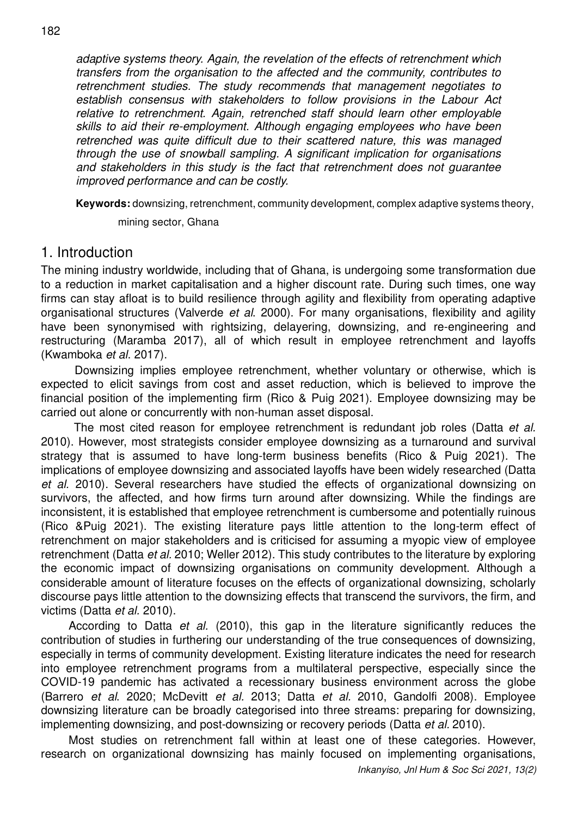*adaptive systems theory. Again, the revelation of the effects of retrenchment which transfers from the organisation to the affected and the community, contributes to retrenchment studies. The study recommends that management negotiates to establish consensus with stakeholders to follow provisions in the Labour Act relative to retrenchment. Again, retrenched staff should learn other employable skills to aid their re-employment. Although engaging employees who have been retrenched was quite difficult due to their scattered nature, this was managed through the use of snowball sampling. A significant implication for organisations and stakeholders in this study is the fact that retrenchment does not guarantee improved performance and can be costly.*

**Keywords:** downsizing, retrenchment, community development, complex adaptive systems theory,

mining sector, Ghana

## 1. Introduction

The mining industry worldwide, including that of Ghana, is undergoing some transformation due to a reduction in market capitalisation and a higher discount rate. During such times, one way firms can stay afloat is to build resilience through agility and flexibility from operating adaptive organisational structures (Valverde *et al*. 2000). For many organisations, flexibility and agility have been synonymised with rightsizing, delayering, downsizing, and re-engineering and restructuring (Maramba 2017), all of which result in employee retrenchment and layoffs (Kwamboka *et al*. 2017).

 Downsizing implies employee retrenchment, whether voluntary or otherwise, which is expected to elicit savings from cost and asset reduction, which is believed to improve the financial position of the implementing firm (Rico & Puig 2021). Employee downsizing may be carried out alone or concurrently with non-human asset disposal.

 The most cited reason for employee retrenchment is redundant job roles (Datta *et al.*  2010). However, most strategists consider employee downsizing as a turnaround and survival strategy that is assumed to have long-term business benefits (Rico & Puig 2021). The implications of employee downsizing and associated layoffs have been widely researched (Datta *et al.* 2010). Several researchers have studied the effects of organizational downsizing on survivors, the affected, and how firms turn around after downsizing. While the findings are inconsistent, it is established that employee retrenchment is cumbersome and potentially ruinous (Rico &Puig 2021). The existing literature pays little attention to the long-term effect of retrenchment on major stakeholders and is criticised for assuming a myopic view of employee retrenchment (Datta *et al.* 2010; Weller 2012). This study contributes to the literature by exploring the economic impact of downsizing organisations on community development. Although a considerable amount of literature focuses on the effects of organizational downsizing, scholarly discourse pays little attention to the downsizing effects that transcend the survivors, the firm, and victims (Datta *et al.* 2010).

According to Datta *et al.* (2010), this gap in the literature significantly reduces the contribution of studies in furthering our understanding of the true consequences of downsizing, especially in terms of community development. Existing literature indicates the need for research into employee retrenchment programs from a multilateral perspective, especially since the COVID-19 pandemic has activated a recessionary business environment across the globe (Barrero *et al*. 2020; McDevitt *et al.* 2013; Datta *et al.* 2010, Gandolfi 2008). Employee downsizing literature can be broadly categorised into three streams: preparing for downsizing, implementing downsizing, and post-downsizing or recovery periods (Datta *et al.* 2010).

Most studies on retrenchment fall within at least one of these categories. However, research on organizational downsizing has mainly focused on implementing organisations,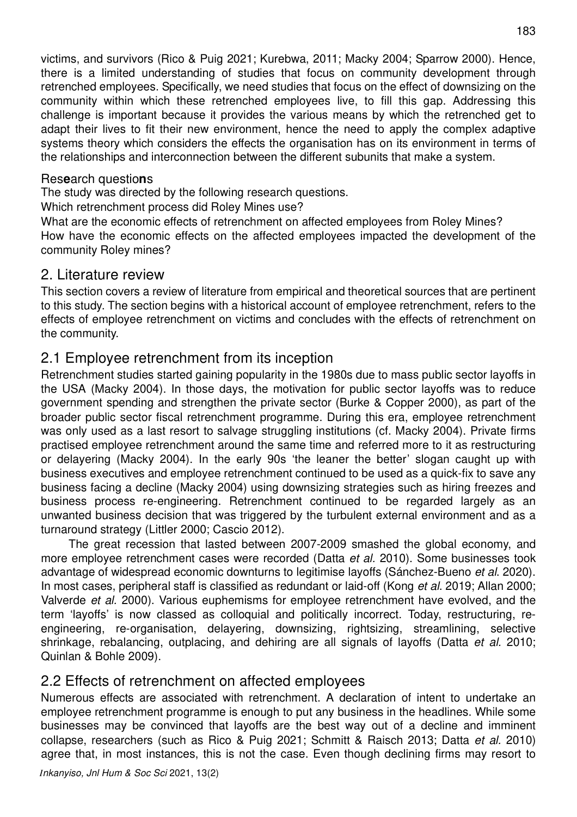victims, and survivors (Rico & Puig 2021; Kurebwa, 2011; Macky 2004; Sparrow 2000). Hence, there is a limited understanding of studies that focus on community development through retrenched employees. Specifically, we need studies that focus on the effect of downsizing on the community within which these retrenched employees live, to fill this gap. Addressing this challenge is important because it provides the various means by which the retrenched get to adapt their lives to fit their new environment, hence the need to apply the complex adaptive systems theory which considers the effects the organisation has on its environment in terms of the relationships and interconnection between the different subunits that make a system.

### Res**e**arch questio**n**s

The study was directed by the following research questions.

Which retrenchment process did Roley Mines use?

What are the economic effects of retrenchment on affected employees from Roley Mines? How have the economic effects on the affected employees impacted the development of the community Roley mines?

## 2. Literature review

This section covers a review of literature from empirical and theoretical sources that are pertinent to this study. The section begins with a historical account of employee retrenchment, refers to the effects of employee retrenchment on victims and concludes with the effects of retrenchment on the community.

# 2.1 Employee retrenchment from its inception

Retrenchment studies started gaining popularity in the 1980s due to mass public sector layoffs in the USA (Macky 2004). In those days, the motivation for public sector layoffs was to reduce government spending and strengthen the private sector (Burke & Copper 2000), as part of the broader public sector fiscal retrenchment programme. During this era, employee retrenchment was only used as a last resort to salvage struggling institutions (cf. Macky 2004). Private firms practised employee retrenchment around the same time and referred more to it as restructuring or delayering (Macky 2004). In the early 90s 'the leaner the better' slogan caught up with business executives and employee retrenchment continued to be used as a quick-fix to save any business facing a decline (Macky 2004) using downsizing strategies such as hiring freezes and business process re-engineering. Retrenchment continued to be regarded largely as an unwanted business decision that was triggered by the turbulent external environment and as a turnaround strategy (Littler 2000; Cascio 2012).

The great recession that lasted between 2007-2009 smashed the global economy, and more employee retrenchment cases were recorded (Datta *et al.* 2010). Some businesses took advantage of widespread economic downturns to legitimise layoffs (Sánchez-Bueno *et al*. 2020). In most cases, peripheral staff is classified as redundant or laid-off (Kong *et al*. 2019; Allan 2000; Valverde *et al.* 2000). Various euphemisms for employee retrenchment have evolved, and the term 'layoffs' is now classed as colloquial and politically incorrect. Today, restructuring, reengineering, re-organisation, delayering, downsizing, rightsizing, streamlining, selective shrinkage, rebalancing, outplacing, and dehiring are all signals of layoffs (Datta *et al.* 2010; Quinlan & Bohle 2009).

# 2.2 Effects of retrenchment on affected employees

Numerous effects are associated with retrenchment. A declaration of intent to undertake an employee retrenchment programme is enough to put any business in the headlines. While some businesses may be convinced that layoffs are the best way out of a decline and imminent collapse, researchers (such as Rico & Puig 2021; Schmitt & Raisch 2013; Datta *et al.* 2010) agree that, in most instances, this is not the case. Even though declining firms may resort to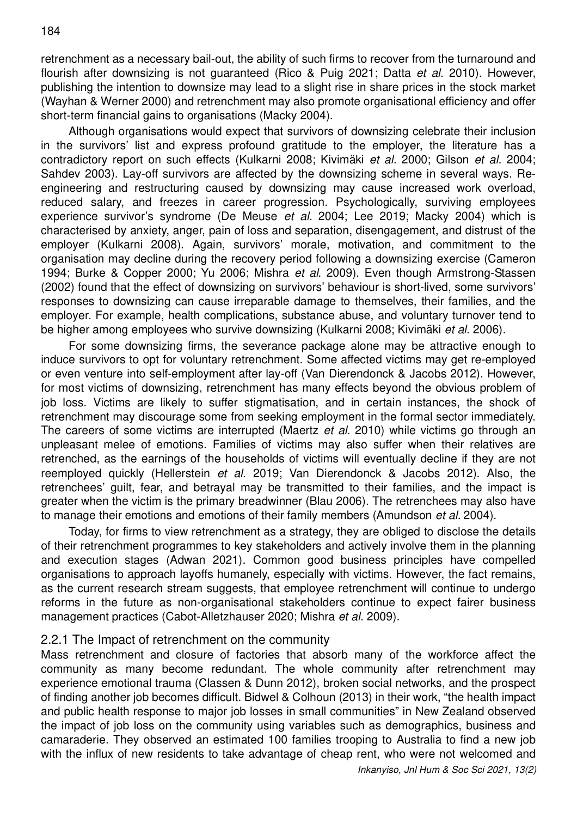retrenchment as a necessary bail-out, the ability of such firms to recover from the turnaround and flourish after downsizing is not guaranteed (Rico & Puig 2021; Datta *et al.* 2010). However, publishing the intention to downsize may lead to a slight rise in share prices in the stock market (Wayhan & Werner 2000) and retrenchment may also promote organisational efficiency and offer short-term financial gains to organisations (Macky 2004).

Although organisations would expect that survivors of downsizing celebrate their inclusion in the survivors' list and express profound gratitude to the employer, the literature has a contradictory report on such effects (Kulkarni 2008; Kivimäki *et al.* 2000; Gilson *et al.* 2004; Sahdev 2003). Lay-off survivors are affected by the downsizing scheme in several ways. Reengineering and restructuring caused by downsizing may cause increased work overload, reduced salary, and freezes in career progression. Psychologically, surviving employees experience survivor's syndrome (De Meuse *et al.* 2004; Lee 2019; Macky 2004) which is characterised by anxiety, anger, pain of loss and separation, disengagement, and distrust of the employer (Kulkarni 2008). Again, survivors' morale, motivation, and commitment to the organisation may decline during the recovery period following a downsizing exercise (Cameron 1994; Burke & Copper 2000; Yu 2006; Mishra *et al*. 2009). Even though Armstrong-Stassen (2002) found that the effect of downsizing on survivors' behaviour is short-lived, some survivors' responses to downsizing can cause irreparable damage to themselves, their families, and the employer. For example, health complications, substance abuse, and voluntary turnover tend to be higher among employees who survive downsizing (Kulkarni 2008; Kivimäki *et al.* 2006).

For some downsizing firms, the severance package alone may be attractive enough to induce survivors to opt for voluntary retrenchment. Some affected victims may get re-employed or even venture into self-employment after lay-off (Van Dierendonck & Jacobs 2012). However, for most victims of downsizing, retrenchment has many effects beyond the obvious problem of job loss. Victims are likely to suffer stigmatisation, and in certain instances, the shock of retrenchment may discourage some from seeking employment in the formal sector immediately. The careers of some victims are interrupted (Maertz *et al.* 2010) while victims go through an unpleasant melee of emotions. Families of victims may also suffer when their relatives are retrenched, as the earnings of the households of victims will eventually decline if they are not reemployed quickly (Hellerstein *et al.* 2019; Van Dierendonck & Jacobs 2012). Also, the retrenchees' guilt, fear, and betrayal may be transmitted to their families, and the impact is greater when the victim is the primary breadwinner (Blau 2006). The retrenchees may also have to manage their emotions and emotions of their family members (Amundson *et al.* 2004).

Today, for firms to view retrenchment as a strategy, they are obliged to disclose the details of their retrenchment programmes to key stakeholders and actively involve them in the planning and execution stages (Adwan 2021). Common good business principles have compelled organisations to approach layoffs humanely, especially with victims. However, the fact remains, as the current research stream suggests, that employee retrenchment will continue to undergo reforms in the future as non-organisational stakeholders continue to expect fairer business management practices (Cabot-Alletzhauser 2020; Mishra *et al.* 2009).

#### 2.2.1 The Impact of retrenchment on the community

Mass retrenchment and closure of factories that absorb many of the workforce affect the community as many become redundant. The whole community after retrenchment may experience emotional trauma (Classen & Dunn 2012), broken social networks, and the prospect of finding another job becomes difficult. Bidwel & Colhoun (2013) in their work, "the health impact and public health response to major job losses in small communities" in New Zealand observed the impact of job loss on the community using variables such as demographics, business and camaraderie. They observed an estimated 100 families trooping to Australia to find a new job with the influx of new residents to take advantage of cheap rent, who were not welcomed and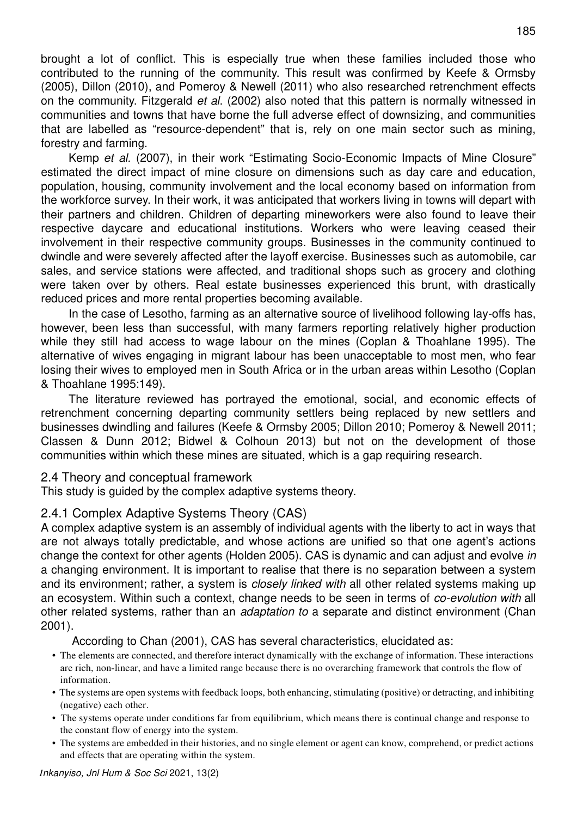brought a lot of conflict. This is especially true when these families included those who contributed to the running of the community. This result was confirmed by Keefe & Ormsby (2005), Dillon (2010), and Pomeroy & Newell (2011) who also researched retrenchment effects on the community. Fitzgerald *et al*. (2002) also noted that this pattern is normally witnessed in communities and towns that have borne the full adverse effect of downsizing, and communities that are labelled as "resource-dependent" that is, rely on one main sector such as mining, forestry and farming.

Kemp *et al.* (2007), in their work "Estimating Socio-Economic Impacts of Mine Closure" estimated the direct impact of mine closure on dimensions such as day care and education, population, housing, community involvement and the local economy based on information from the workforce survey. In their work, it was anticipated that workers living in towns will depart with their partners and children. Children of departing mineworkers were also found to leave their respective daycare and educational institutions. Workers who were leaving ceased their involvement in their respective community groups. Businesses in the community continued to dwindle and were severely affected after the layoff exercise. Businesses such as automobile, car sales, and service stations were affected, and traditional shops such as grocery and clothing were taken over by others. Real estate businesses experienced this brunt, with drastically reduced prices and more rental properties becoming available.

In the case of Lesotho, farming as an alternative source of livelihood following lay-offs has, however, been less than successful, with many farmers reporting relatively higher production while they still had access to wage labour on the mines (Coplan & Thoahlane 1995). The alternative of wives engaging in migrant labour has been unacceptable to most men, who fear losing their wives to employed men in South Africa or in the urban areas within Lesotho (Coplan & Thoahlane 1995:149).

The literature reviewed has portrayed the emotional, social, and economic effects of retrenchment concerning departing community settlers being replaced by new settlers and businesses dwindling and failures (Keefe & Ormsby 2005; Dillon 2010; Pomeroy & Newell 2011; Classen & Dunn 2012; Bidwel & Colhoun 2013) but not on the development of those communities within which these mines are situated, which is a gap requiring research.

#### 2.4 Theory and conceptual framework

This study is guided by the complex adaptive systems theory.

### 2.4.1 Complex Adaptive Systems Theory (CAS)

A complex adaptive system is an assembly of individual agents with the liberty to act in ways that are not always totally predictable, and whose actions are unified so that one agent's actions change the context for other agents (Holden 2005). CAS is dynamic and can adjust and evolve *in*  a changing environment. It is important to realise that there is no separation between a system and its environment; rather, a system is *closely linked with* all other related systems making up an ecosystem. Within such a context, change needs to be seen in terms of *co-evolution with* all other related systems, rather than an *adaptation to* a separate and distinct environment (Chan 2001).

According to Chan (2001), CAS has several characteristics, elucidated as:

- The elements are connected, and therefore interact dynamically with the exchange of information. These interactions are rich, non-linear, and have a limited range because there is no overarching framework that controls the flow of information.
- The systems are open systems with feedback loops, both enhancing, stimulating (positive) or detracting, and inhibiting (negative) each other.
- The systems operate under conditions far from equilibrium, which means there is continual change and response to the constant flow of energy into the system.
- The systems are embedded in their histories, and no single element or agent can know, comprehend, or predict actions and effects that are operating within the system.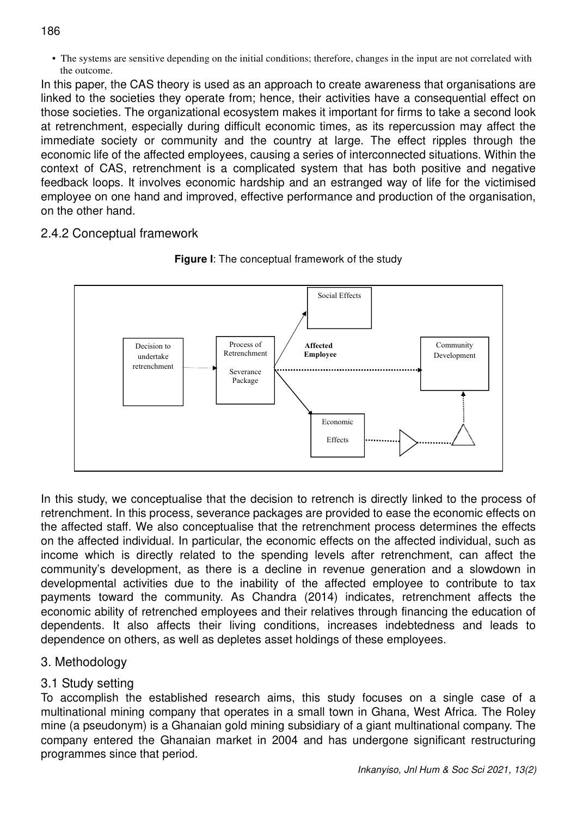186

• The systems are sensitive depending on the initial conditions; therefore, changes in the input are not correlated with the outcome.

In this paper, the CAS theory is used as an approach to create awareness that organisations are linked to the societies they operate from; hence, their activities have a consequential effect on those societies. The organizational ecosystem makes it important for firms to take a second look at retrenchment, especially during difficult economic times, as its repercussion may affect the immediate society or community and the country at large. The effect ripples through the economic life of the affected employees, causing a series of interconnected situations. Within the context of CAS, retrenchment is a complicated system that has both positive and negative feedback loops. It involves economic hardship and an estranged way of life for the victimised employee on one hand and improved, effective performance and production of the organisation, on the other hand.

## 2.4.2 Conceptual framework





In this study, we conceptualise that the decision to retrench is directly linked to the process of retrenchment. In this process, severance packages are provided to ease the economic effects on the affected staff. We also conceptualise that the retrenchment process determines the effects on the affected individual. In particular, the economic effects on the affected individual, such as income which is directly related to the spending levels after retrenchment, can affect the community's development, as there is a decline in revenue generation and a slowdown in developmental activities due to the inability of the affected employee to contribute to tax payments toward the community. As Chandra (2014) indicates, retrenchment affects the economic ability of retrenched employees and their relatives through financing the education of dependents. It also affects their living conditions, increases indebtedness and leads to dependence on others, as well as depletes asset holdings of these employees.

# 3. Methodology

# 3.1 Study setting

To accomplish the established research aims, this study focuses on a single case of a multinational mining company that operates in a small town in Ghana, West Africa. The Roley mine (a pseudonym) is a Ghanaian gold mining subsidiary of a giant multinational company. The company entered the Ghanaian market in 2004 and has undergone significant restructuring programmes since that period.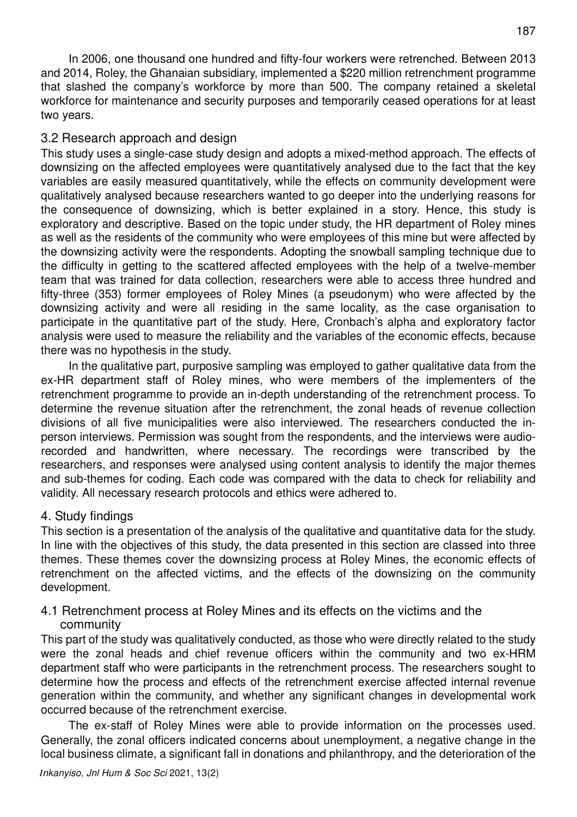In 2006, one thousand one hundred and fifty-four workers were retrenched. Between 2013 and 2014, Roley, the Ghanaian subsidiary, implemented a \$220 million retrenchment programme that slashed the company's workforce by more than 500. The company retained a skeletal workforce for maintenance and security purposes and temporarily ceased operations for at least two years.

### 3.2 Research approach and design

This study uses a single-case study design and adopts a mixed-method approach. The effects of downsizing on the affected employees were quantitatively analysed due to the fact that the key variables are easily measured quantitatively, while the effects on community development were qualitatively analysed because researchers wanted to go deeper into the underlying reasons for the consequence of downsizing, which is better explained in a story. Hence, this study is exploratory and descriptive. Based on the topic under study, the HR department of Roley mines as well as the residents of the community who were employees of this mine but were affected by the downsizing activity were the respondents. Adopting the snowball sampling technique due to the difficulty in getting to the scattered affected employees with the help of a twelve-member team that was trained for data collection, researchers were able to access three hundred and fifty-three (353) former employees of Roley Mines (a pseudonym) who were affected by the downsizing activity and were all residing in the same locality, as the case organisation to participate in the quantitative part of the study. Here, Cronbach's alpha and exploratory factor analysis were used to measure the reliability and the variables of the economic effects, because there was no hypothesis in the study.

In the qualitative part, purposive sampling was employed to gather qualitative data from the ex-HR department staff of Roley mines, who were members of the implementers of the retrenchment programme to provide an in-depth understanding of the retrenchment process. To determine the revenue situation after the retrenchment, the zonal heads of revenue collection divisions of all five municipalities were also interviewed. The researchers conducted the inperson interviews. Permission was sought from the respondents, and the interviews were audiorecorded and handwritten, where necessary. The recordings were transcribed by the researchers, and responses were analysed using content analysis to identify the major themes and sub-themes for coding. Each code was compared with the data to check for reliability and validity. All necessary research protocols and ethics were adhered to.

## 4. Study findings

This section is a presentation of the analysis of the qualitative and quantitative data for the study. In line with the objectives of this study, the data presented in this section are classed into three themes. These themes cover the downsizing process at Roley Mines, the economic effects of retrenchment on the affected victims, and the effects of the downsizing on the community development.

### 4.1 Retrenchment process at Roley Mines and its effects on the victims and the community

This part of the study was qualitatively conducted, as those who were directly related to the study were the zonal heads and chief revenue officers within the community and two ex-HRM department staff who were participants in the retrenchment process. The researchers sought to determine how the process and effects of the retrenchment exercise affected internal revenue generation within the community, and whether any significant changes in developmental work occurred because of the retrenchment exercise.

The ex-staff of Roley Mines were able to provide information on the processes used. Generally, the zonal officers indicated concerns about unemployment, a negative change in the local business climate, a significant fall in donations and philanthropy, and the deterioration of the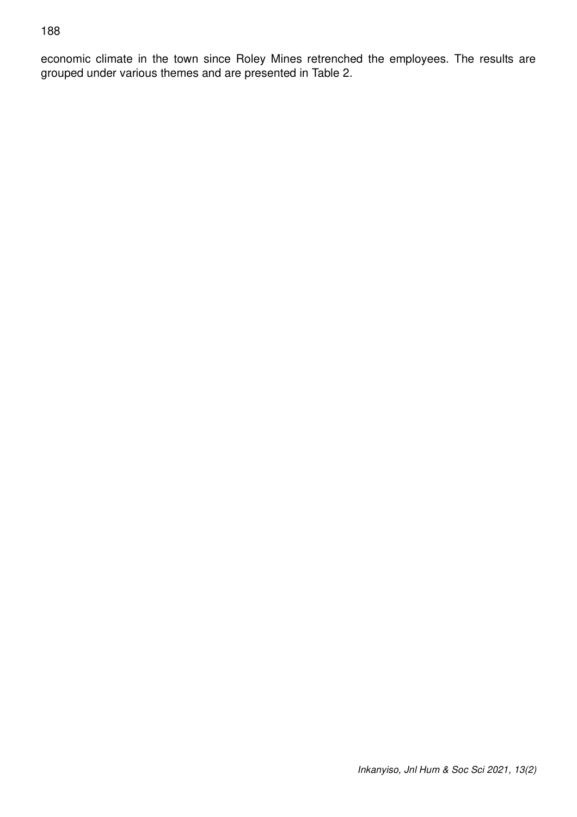#### 188

economic climate in the town since Roley Mines retrenched the employees. The results are grouped under various themes and are presented in Table 2.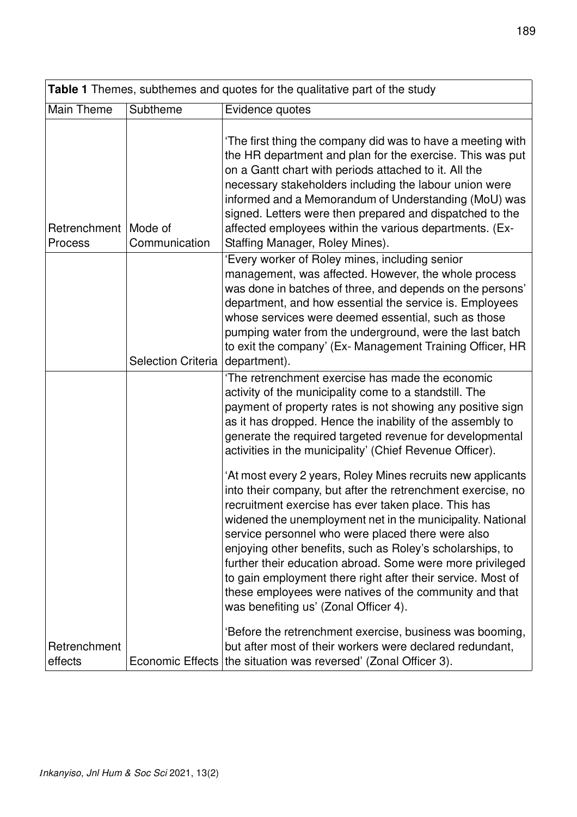| Table 1 Themes, subthemes and quotes for the qualitative part of the study |                           |                                                                                                                                                                                                                                                                                                                                                                                                                                                                                                                                                                                                  |  |  |  |  |
|----------------------------------------------------------------------------|---------------------------|--------------------------------------------------------------------------------------------------------------------------------------------------------------------------------------------------------------------------------------------------------------------------------------------------------------------------------------------------------------------------------------------------------------------------------------------------------------------------------------------------------------------------------------------------------------------------------------------------|--|--|--|--|
| Main Theme                                                                 | Subtheme                  | Evidence quotes                                                                                                                                                                                                                                                                                                                                                                                                                                                                                                                                                                                  |  |  |  |  |
| Retrenchment<br>Process                                                    | Mode of<br>Communication  | The first thing the company did was to have a meeting with<br>the HR department and plan for the exercise. This was put<br>on a Gantt chart with periods attached to it. All the<br>necessary stakeholders including the labour union were<br>informed and a Memorandum of Understanding (MoU) was<br>signed. Letters were then prepared and dispatched to the<br>affected employees within the various departments. (Ex-<br>Staffing Manager, Roley Mines).                                                                                                                                     |  |  |  |  |
|                                                                            | <b>Selection Criteria</b> | 'Every worker of Roley mines, including senior<br>management, was affected. However, the whole process<br>was done in batches of three, and depends on the persons'<br>department, and how essential the service is. Employees<br>whose services were deemed essential, such as those<br>pumping water from the underground, were the last batch<br>to exit the company' (Ex- Management Training Officer, HR<br>department).                                                                                                                                                                    |  |  |  |  |
|                                                                            |                           | The retrenchment exercise has made the economic<br>activity of the municipality come to a standstill. The<br>payment of property rates is not showing any positive sign<br>as it has dropped. Hence the inability of the assembly to<br>generate the required targeted revenue for developmental<br>activities in the municipality' (Chief Revenue Officer).                                                                                                                                                                                                                                     |  |  |  |  |
|                                                                            |                           | 'At most every 2 years, Roley Mines recruits new applicants<br>into their company, but after the retrenchment exercise, no<br>recruitment exercise has ever taken place. This has<br>widened the unemployment net in the municipality. National<br>service personnel who were placed there were also<br>enjoying other benefits, such as Roley's scholarships, to<br>further their education abroad. Some were more privileged<br>to gain employment there right after their service. Most of<br>these employees were natives of the community and that<br>was benefiting us' (Zonal Officer 4). |  |  |  |  |
| Retrenchment<br>effects                                                    |                           | 'Before the retrenchment exercise, business was booming,<br>but after most of their workers were declared redundant,<br>Economic Effects   the situation was reversed' (Zonal Officer 3).                                                                                                                                                                                                                                                                                                                                                                                                        |  |  |  |  |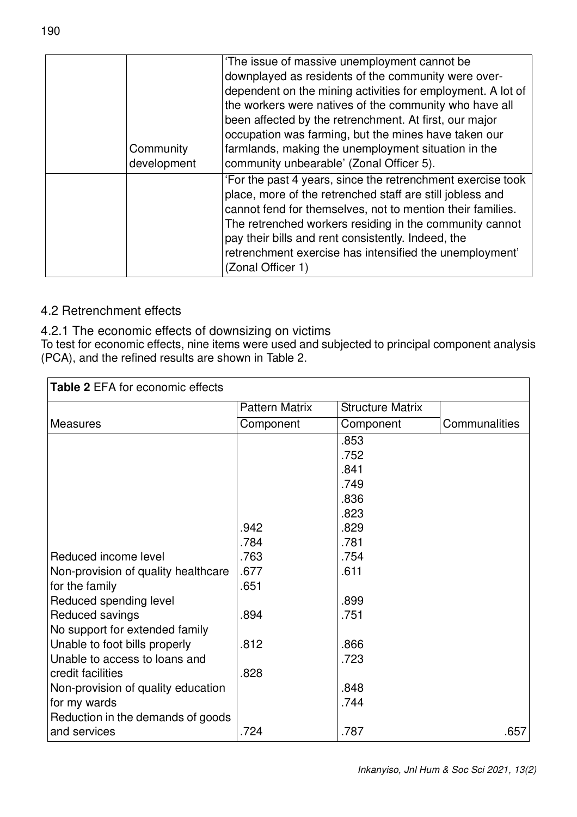|  |             | 'The issue of massive unemployment cannot be                |
|--|-------------|-------------------------------------------------------------|
|  |             | downplayed as residents of the community were over-         |
|  |             | dependent on the mining activities for employment. A lot of |
|  |             | the workers were natives of the community who have all      |
|  |             | been affected by the retrenchment. At first, our major      |
|  |             | occupation was farming, but the mines have taken our        |
|  | Community   | farmlands, making the unemployment situation in the         |
|  | development | community unbearable' (Zonal Officer 5).                    |
|  |             | 'For the past 4 years, since the retrenchment exercise took |
|  |             | place, more of the retrenched staff are still jobless and   |
|  |             | cannot fend for themselves, not to mention their families.  |
|  |             | The retrenched workers residing in the community cannot     |
|  |             | pay their bills and rent consistently. Indeed, the          |
|  |             | retrenchment exercise has intensified the unemployment'     |
|  |             | (Zonal Officer 1)                                           |
|  |             |                                                             |

## 4.2 Retrenchment effects

4.2.1 The economic effects of downsizing on victims

To test for economic effects, nine items were used and subjected to principal component analysis (PCA), and the refined results are shown in Table 2.

| <b>Table 2 EFA for economic effects</b> |                       |                         |               |  |  |
|-----------------------------------------|-----------------------|-------------------------|---------------|--|--|
|                                         | <b>Pattern Matrix</b> | <b>Structure Matrix</b> |               |  |  |
| <b>Measures</b>                         | Component             | Component               | Communalities |  |  |
|                                         |                       | .853                    |               |  |  |
|                                         |                       | .752                    |               |  |  |
|                                         |                       | .841                    |               |  |  |
|                                         |                       | .749                    |               |  |  |
|                                         |                       | .836                    |               |  |  |
|                                         |                       | .823                    |               |  |  |
|                                         | .942                  | .829                    |               |  |  |
|                                         | .784                  | .781                    |               |  |  |
| Reduced income level                    | .763                  | .754                    |               |  |  |
| Non-provision of quality healthcare     | .677                  | .611                    |               |  |  |
| for the family                          | .651                  |                         |               |  |  |
| Reduced spending level                  |                       | .899                    |               |  |  |
| Reduced savings                         | .894                  | .751                    |               |  |  |
| No support for extended family          |                       |                         |               |  |  |
| Unable to foot bills properly           | .812                  | .866                    |               |  |  |
| Unable to access to loans and           |                       | .723                    |               |  |  |
| credit facilities                       | .828                  |                         |               |  |  |
| Non-provision of quality education      |                       | .848                    |               |  |  |
| for my wards                            |                       | .744                    |               |  |  |
| Reduction in the demands of goods       |                       |                         |               |  |  |
| and services                            | .724                  | .787                    | .657          |  |  |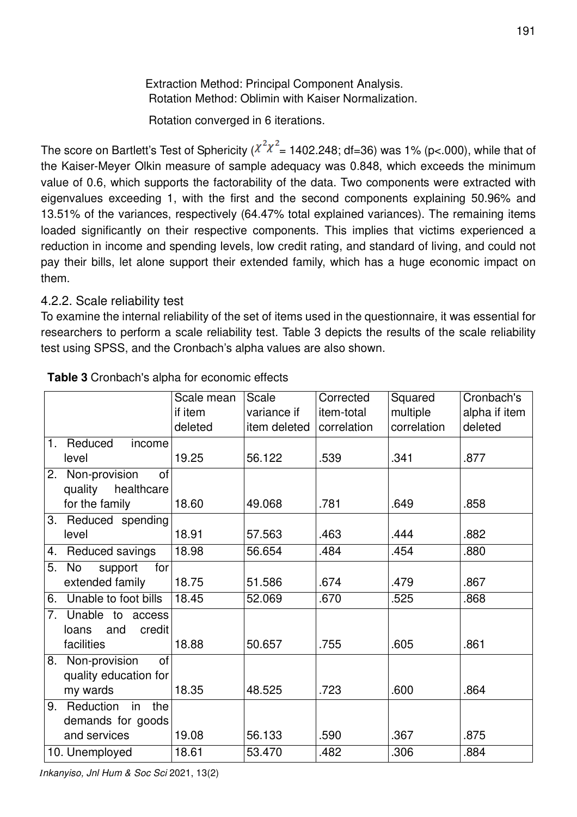Extraction Method: Principal Component Analysis. Rotation Method: Oblimin with Kaiser Normalization.

Rotation converged in 6 iterations.

The score on Bartlett's Test of Sphericity ( $\chi^2 \chi^2$  = 1402.248; df=36) was 1% (p<.000), while that of the Kaiser-Meyer Olkin measure of sample adequacy was 0.848, which exceeds the minimum value of 0.6, which supports the factorability of the data. Two components were extracted with eigenvalues exceeding 1, with the first and the second components explaining 50.96% and 13.51% of the variances, respectively (64.47% total explained variances). The remaining items loaded significantly on their respective components. This implies that victims experienced a reduction in income and spending levels, low credit rating, and standard of living, and could not pay their bills, let alone support their extended family, which has a huge economic impact on them.

### 4.2.2. Scale reliability test

To examine the internal reliability of the set of items used in the questionnaire, it was essential for researchers to perform a scale reliability test. Table 3 depicts the results of the scale reliability test using SPSS, and the Cronbach's alpha values are also shown.

|                            | Scale mean | Scale        | Corrected   | Squared     | Cronbach's    |
|----------------------------|------------|--------------|-------------|-------------|---------------|
|                            | if item    | variance if  | item-total  | multiple    | alpha if item |
|                            | deleted    | item deleted | correlation | correlation | deleted       |
| 1. Reduced<br>income       |            |              |             |             |               |
| level                      | 19.25      | 56.122       | .539        | .341        | .877          |
| 2. Non-provision<br>of     |            |              |             |             |               |
| quality<br>healthcare      |            |              |             |             |               |
| for the family             | 18.60      | 49.068       | .781        | .649        | .858          |
| 3. Reduced spending        |            |              |             |             |               |
| level                      | 18.91      | 57.563       | .463        | .444        | .882          |
| Reduced savings<br>4.      | 18.98      | 56.654       | .484        | .454        | .880          |
| 5.<br>No<br>support<br>for |            |              |             |             |               |
| extended family            | 18.75      | 51.586       | .674        | .479        | .867          |
| Unable to foot bills<br>6. | 18.45      | 52.069       | .670        | .525        | .868          |
| 7. Unable to access        |            |              |             |             |               |
| credit<br>and<br>loans     |            |              |             |             |               |
| facilities                 | 18.88      | 50.657       | .755        | .605        | .861          |
| 8. Non-provision<br>of     |            |              |             |             |               |
| quality education for      |            |              |             |             |               |
| my wards                   | 18.35      | 48.525       | .723        | .600        | .864          |
| 9. Reduction<br>in<br>the  |            |              |             |             |               |
| demands for goods          |            |              |             |             |               |
| and services               | 19.08      | 56.133       | .590        | .367        | .875          |
| 10. Unemployed             | 18.61      | 53.470       | .482        | .306        | .884          |

#### **Table 3** Cronbach's alpha for economic effects

*Inkanyiso, Jnl Hum & Soc Sci* 2021, 13(2)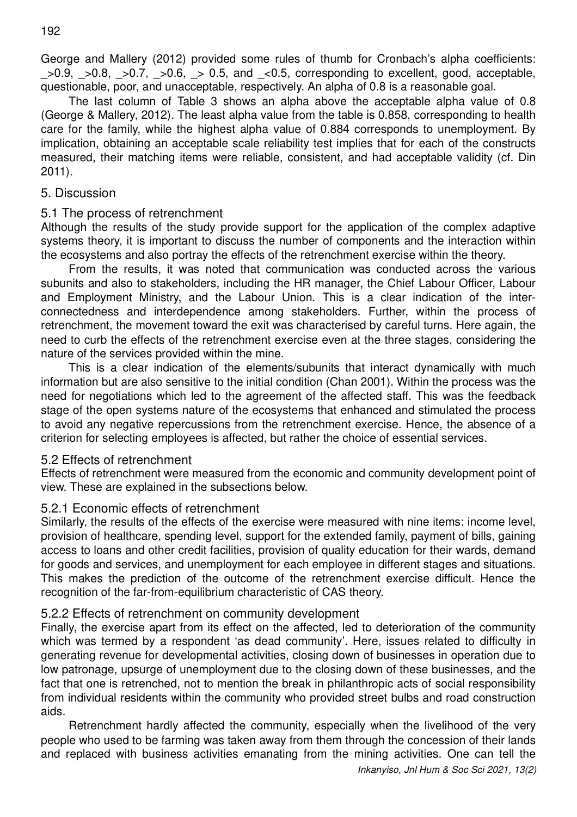George and Mallery (2012) provided some rules of thumb for Cronbach's alpha coefficients:  $>0.9$ ,  $>0.8$ ,  $>0.7$ ,  $>0.6$ ,  $>0.5$ , and  $< 0.5$ , corresponding to excellent, good, acceptable, questionable, poor, and unacceptable, respectively. An alpha of 0.8 is a reasonable goal.

The last column of Table 3 shows an alpha above the acceptable alpha value of 0.8 (George & Mallery, 2012). The least alpha value from the table is 0.858, corresponding to health care for the family, while the highest alpha value of 0.884 corresponds to unemployment. By implication, obtaining an acceptable scale reliability test implies that for each of the constructs measured, their matching items were reliable, consistent, and had acceptable validity (cf. Din 2011).

#### 5. Discussion

#### 5.1 The process of retrenchment

Although the results of the study provide support for the application of the complex adaptive systems theory, it is important to discuss the number of components and the interaction within the ecosystems and also portray the effects of the retrenchment exercise within the theory.

From the results, it was noted that communication was conducted across the various subunits and also to stakeholders, including the HR manager, the Chief Labour Officer, Labour and Employment Ministry, and the Labour Union. This is a clear indication of the interconnectedness and interdependence among stakeholders. Further, within the process of retrenchment, the movement toward the exit was characterised by careful turns. Here again, the need to curb the effects of the retrenchment exercise even at the three stages, considering the nature of the services provided within the mine.

This is a clear indication of the elements/subunits that interact dynamically with much information but are also sensitive to the initial condition (Chan 2001). Within the process was the need for negotiations which led to the agreement of the affected staff. This was the feedback stage of the open systems nature of the ecosystems that enhanced and stimulated the process to avoid any negative repercussions from the retrenchment exercise. Hence, the absence of a criterion for selecting employees is affected, but rather the choice of essential services.

#### 5.2 Effects of retrenchment

Effects of retrenchment were measured from the economic and community development point of view. These are explained in the subsections below.

#### 5.2.1 Economic effects of retrenchment

Similarly, the results of the effects of the exercise were measured with nine items: income level, provision of healthcare, spending level, support for the extended family, payment of bills, gaining access to loans and other credit facilities, provision of quality education for their wards, demand for goods and services, and unemployment for each employee in different stages and situations. This makes the prediction of the outcome of the retrenchment exercise difficult. Hence the recognition of the far-from-equilibrium characteristic of CAS theory.

#### 5.2.2 Effects of retrenchment on community development

Finally, the exercise apart from its effect on the affected, led to deterioration of the community which was termed by a respondent 'as dead community'. Here, issues related to difficulty in generating revenue for developmental activities, closing down of businesses in operation due to low patronage, upsurge of unemployment due to the closing down of these businesses, and the fact that one is retrenched, not to mention the break in philanthropic acts of social responsibility from individual residents within the community who provided street bulbs and road construction aids.

Retrenchment hardly affected the community, especially when the livelihood of the very people who used to be farming was taken away from them through the concession of their lands and replaced with business activities emanating from the mining activities. One can tell the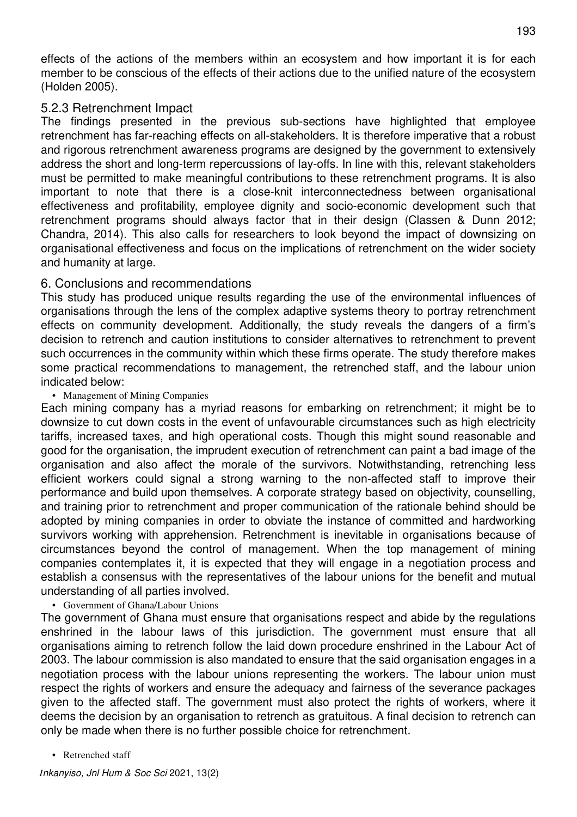effects of the actions of the members within an ecosystem and how important it is for each member to be conscious of the effects of their actions due to the unified nature of the ecosystem (Holden 2005).

#### 5.2.3 Retrenchment Impact

The findings presented in the previous sub-sections have highlighted that employee retrenchment has far-reaching effects on all-stakeholders. It is therefore imperative that a robust and rigorous retrenchment awareness programs are designed by the government to extensively address the short and long-term repercussions of lay-offs. In line with this, relevant stakeholders must be permitted to make meaningful contributions to these retrenchment programs. It is also important to note that there is a close-knit interconnectedness between organisational effectiveness and profitability, employee dignity and socio-economic development such that retrenchment programs should always factor that in their design (Classen & Dunn 2012; Chandra, 2014). This also calls for researchers to look beyond the impact of downsizing on organisational effectiveness and focus on the implications of retrenchment on the wider society and humanity at large.

#### 6. Conclusions and recommendations

This study has produced unique results regarding the use of the environmental influences of organisations through the lens of the complex adaptive systems theory to portray retrenchment effects on community development. Additionally, the study reveals the dangers of a firm's decision to retrench and caution institutions to consider alternatives to retrenchment to prevent such occurrences in the community within which these firms operate. The study therefore makes some practical recommendations to management, the retrenched staff, and the labour union indicated below:

#### • Management of Mining Companies

Each mining company has a myriad reasons for embarking on retrenchment; it might be to downsize to cut down costs in the event of unfavourable circumstances such as high electricity tariffs, increased taxes, and high operational costs. Though this might sound reasonable and good for the organisation, the imprudent execution of retrenchment can paint a bad image of the organisation and also affect the morale of the survivors. Notwithstanding, retrenching less efficient workers could signal a strong warning to the non-affected staff to improve their performance and build upon themselves. A corporate strategy based on objectivity, counselling, and training prior to retrenchment and proper communication of the rationale behind should be adopted by mining companies in order to obviate the instance of committed and hardworking survivors working with apprehension. Retrenchment is inevitable in organisations because of circumstances beyond the control of management. When the top management of mining companies contemplates it, it is expected that they will engage in a negotiation process and establish a consensus with the representatives of the labour unions for the benefit and mutual understanding of all parties involved.

#### • Government of Ghana/Labour Unions

The government of Ghana must ensure that organisations respect and abide by the regulations enshrined in the labour laws of this jurisdiction. The government must ensure that all organisations aiming to retrench follow the laid down procedure enshrined in the Labour Act of 2003. The labour commission is also mandated to ensure that the said organisation engages in a negotiation process with the labour unions representing the workers. The labour union must respect the rights of workers and ensure the adequacy and fairness of the severance packages given to the affected staff. The government must also protect the rights of workers, where it deems the decision by an organisation to retrench as gratuitous. A final decision to retrench can only be made when there is no further possible choice for retrenchment.

• Retrenched staff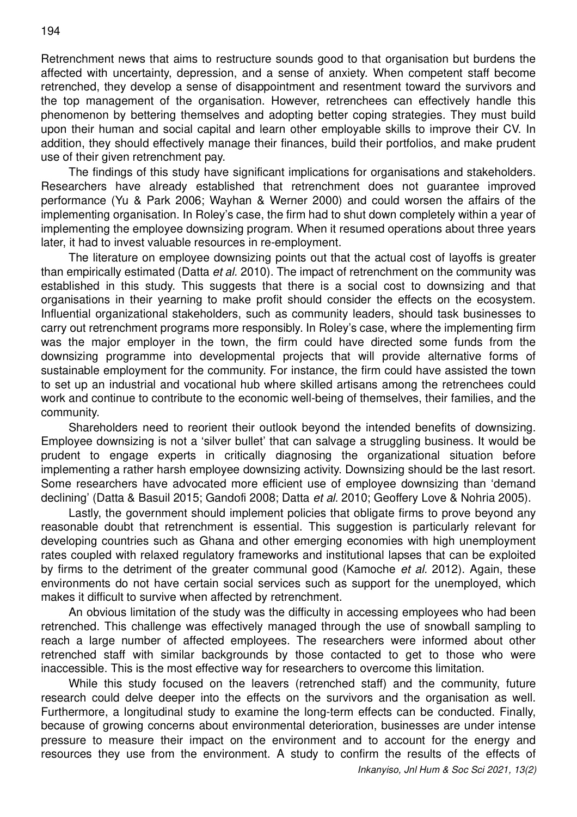Retrenchment news that aims to restructure sounds good to that organisation but burdens the affected with uncertainty, depression, and a sense of anxiety. When competent staff become retrenched, they develop a sense of disappointment and resentment toward the survivors and the top management of the organisation. However, retrenchees can effectively handle this phenomenon by bettering themselves and adopting better coping strategies. They must build upon their human and social capital and learn other employable skills to improve their CV. In addition, they should effectively manage their finances, build their portfolios, and make prudent use of their given retrenchment pay.

The findings of this study have significant implications for organisations and stakeholders. Researchers have already established that retrenchment does not guarantee improved performance (Yu & Park 2006; Wayhan & Werner 2000) and could worsen the affairs of the implementing organisation. In Roley's case, the firm had to shut down completely within a year of implementing the employee downsizing program. When it resumed operations about three years later, it had to invest valuable resources in re-employment.

The literature on employee downsizing points out that the actual cost of layoffs is greater than empirically estimated (Datta *et al.* 2010). The impact of retrenchment on the community was established in this study. This suggests that there is a social cost to downsizing and that organisations in their yearning to make profit should consider the effects on the ecosystem. Influential organizational stakeholders, such as community leaders, should task businesses to carry out retrenchment programs more responsibly. In Roley's case, where the implementing firm was the major employer in the town, the firm could have directed some funds from the downsizing programme into developmental projects that will provide alternative forms of sustainable employment for the community. For instance, the firm could have assisted the town to set up an industrial and vocational hub where skilled artisans among the retrenchees could work and continue to contribute to the economic well-being of themselves, their families, and the community.

Shareholders need to reorient their outlook beyond the intended benefits of downsizing. Employee downsizing is not a 'silver bullet' that can salvage a struggling business. It would be prudent to engage experts in critically diagnosing the organizational situation before implementing a rather harsh employee downsizing activity. Downsizing should be the last resort. Some researchers have advocated more efficient use of employee downsizing than 'demand declining' (Datta & Basuil 2015; Gandofi 2008; Datta *et al.* 2010; Geoffery Love & Nohria 2005).

Lastly, the government should implement policies that obligate firms to prove beyond any reasonable doubt that retrenchment is essential. This suggestion is particularly relevant for developing countries such as Ghana and other emerging economies with high unemployment rates coupled with relaxed regulatory frameworks and institutional lapses that can be exploited by firms to the detriment of the greater communal good (Kamoche *et al.* 2012). Again, these environments do not have certain social services such as support for the unemployed, which makes it difficult to survive when affected by retrenchment.

An obvious limitation of the study was the difficulty in accessing employees who had been retrenched. This challenge was effectively managed through the use of snowball sampling to reach a large number of affected employees. The researchers were informed about other retrenched staff with similar backgrounds by those contacted to get to those who were inaccessible. This is the most effective way for researchers to overcome this limitation.

While this study focused on the leavers (retrenched staff) and the community, future research could delve deeper into the effects on the survivors and the organisation as well. Furthermore, a longitudinal study to examine the long-term effects can be conducted. Finally, because of growing concerns about environmental deterioration, businesses are under intense pressure to measure their impact on the environment and to account for the energy and resources they use from the environment. A study to confirm the results of the effects of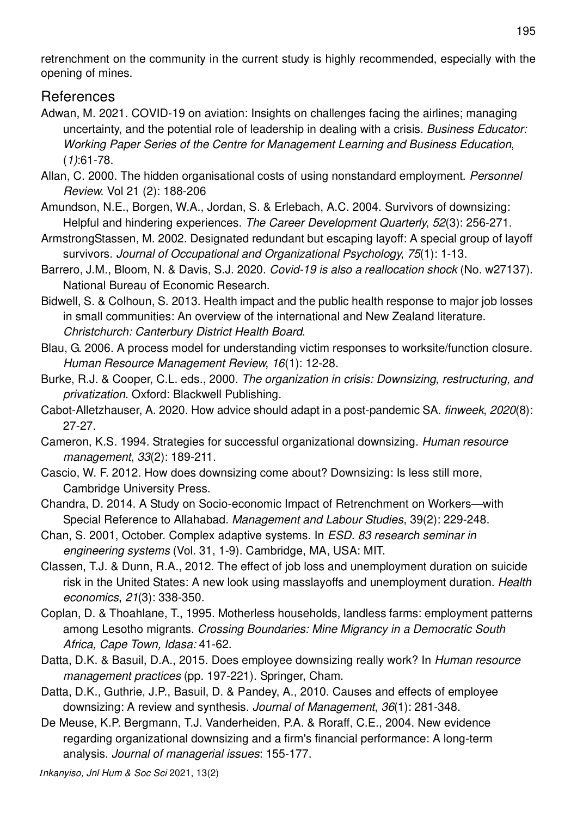retrenchment on the community in the current study is highly recommended, especially with the opening of mines.

# References

- Adwan, M. 2021. COVID-19 on aviation: Insights on challenges facing the airlines; managing uncertainty, and the potential role of leadership in dealing with a crisis. *Business Educator: Working Paper Series of the Centre for Management Learning and Business Education*, (*1)*:61-78.
- Allan, C. 2000. The hidden organisational costs of using nonstandard employment. *Personnel Review*. Vol 21 (2): 188-206

Amundson, N.E., Borgen, W.A., Jordan, S. & Erlebach, A.C. 2004. Survivors of downsizing: Helpful and hindering experiences. *The Career Development Quarterly*, *52*(3): 256-271.

- ArmstrongStassen, M. 2002. Designated redundant but escaping layoff: A special group of layoff survivors. *Journal of Occupational and Organizational Psychology*, *75*(1): 1-13.
- Barrero, J.M., Bloom, N. & Davis, S.J. 2020. *Covid-19 is also a reallocation shock* (No. w27137). National Bureau of Economic Research.
- Bidwell, S. & Colhoun, S. 2013. Health impact and the public health response to major job losses in small communities: An overview of the international and New Zealand literature. *Christchurch: Canterbury District Health Board*.
- Blau, G. 2006. A process model for understanding victim responses to worksite/function closure. *Human Resource Management Review*, *16*(1): 12-28.
- Burke, R.J. & Cooper, C.L. eds., 2000. *The organization in crisis: Downsizing, restructuring, and privatization*. Oxford: Blackwell Publishing.
- Cabot-Alletzhauser, A. 2020. How advice should adapt in a post-pandemic SA. *finweek*, *2020*(8): 27-27.
- Cameron, K.S. 1994. Strategies for successful organizational downsizing. *Human resource management*, *33*(2): 189-211.
- Cascio, W. F. 2012. How does downsizing come about? Downsizing: Is less still more, Cambridge University Press.
- Chandra, D. 2014. A Study on Socio-economic Impact of Retrenchment on Workers—with Special Reference to Allahabad. *Management and Labour Studies*, 39(2): 229-248.
- Chan, S. 2001, October. Complex adaptive systems. In *ESD. 83 research seminar in engineering systems* (Vol. 31, 1-9). Cambridge, MA, USA: MIT.
- Classen, T.J. & Dunn, R.A., 2012. The effect of job loss and unemployment duration on suicide risk in the United States: A new look using masslayoffs and unemployment duration. *Health economics*, *21*(3): 338-350.
- Coplan, D. & Thoahlane, T., 1995. Motherless households, landless farms: employment patterns among Lesotho migrants. *Crossing Boundaries: Mine Migrancy in a Democratic South Africa, Cape Town, Idasa:* 41-62.
- Datta, D.K. & Basuil, D.A., 2015. Does employee downsizing really work? In *Human resource management practices* (pp. 197-221). Springer, Cham.
- Datta, D.K., Guthrie, J.P., Basuil, D. & Pandey, A., 2010. Causes and effects of employee downsizing: A review and synthesis. *Journal of Management*, *36*(1): 281-348.
- De Meuse, K.P. Bergmann, T.J. Vanderheiden, P.A. & Roraff, C.E., 2004. New evidence regarding organizational downsizing and a firm's financial performance: A long-term analysis. *Journal of managerial issues*: 155-177.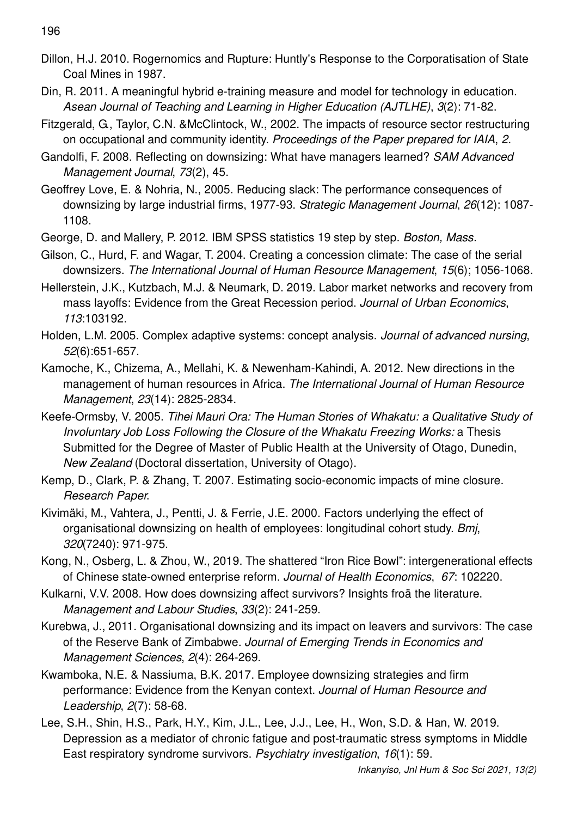196

- Dillon, H.J. 2010. Rogernomics and Rupture: Huntly's Response to the Corporatisation of State Coal Mines in 1987.
- Din, R. 2011. A meaningful hybrid e-training measure and model for technology in education. *Asean Journal of Teaching and Learning in Higher Education (AJTLHE)*, *3*(2): 71-82.
- Fitzgerald, G., Taylor, C.N. &McClintock, W., 2002. The impacts of resource sector restructuring on occupational and community identity. *Proceedings of the Paper prepared for IAIA*, *2*.
- Gandolfi, F. 2008. Reflecting on downsizing: What have managers learned? *SAM Advanced Management Journal*, *73*(2), 45.
- Geoffrey Love, E. & Nohria, N., 2005. Reducing slack: The performance consequences of downsizing by large industrial firms, 1977-93. *Strategic Management Journal*, *26*(12): 1087- 1108.
- George, D. and Mallery, P. 2012. IBM SPSS statistics 19 step by step. *Boston, Mass*.
- Gilson, C., Hurd, F. and Wagar, T. 2004. Creating a concession climate: The case of the serial downsizers. *The International Journal of Human Resource Management*, *15*(6); 1056-1068.
- Hellerstein, J.K., Kutzbach, M.J. & Neumark, D. 2019. Labor market networks and recovery from mass layoffs: Evidence from the Great Recession period. *Journal of Urban Economics*, *113*:103192.
- Holden, L.M. 2005. Complex adaptive systems: concept analysis. *Journal of advanced nursing*, *52*(6):651-657.
- Kamoche, K., Chizema, A., Mellahi, K. & Newenham-Kahindi, A. 2012. New directions in the management of human resources in Africa. *The International Journal of Human Resource Management*, *23*(14): 2825-2834.
- Keefe-Ormsby, V. 2005. *Tihei Mauri Ora: The Human Stories of Whakatu: a Qualitative Study of Involuntary Job Loss Following the Closure of the Whakatu Freezing Works:* a Thesis Submitted for the Degree of Master of Public Health at the University of Otago, Dunedin, *New Zealand* (Doctoral dissertation, University of Otago).
- Kemp, D., Clark, P. & Zhang, T. 2007. Estimating socio-economic impacts of mine closure. *Research Paper*.
- Kivimäki, M., Vahtera, J., Pentti, J. & Ferrie, J.E. 2000. Factors underlying the effect of organisational downsizing on health of employees: longitudinal cohort study. *Bmj*, *320*(7240): 971-975.
- Kong, N., Osberg, L. & Zhou, W., 2019. The shattered "Iron Rice Bowl": intergenerational effects of Chinese state-owned enterprise reform. *Journal of Health Economics*, *67*: 102220.
- Kulkarni, V.V. 2008. How does downsizing affect survivors? Insights froä the literature. *Management and Labour Studies*, *33*(2): 241-259.
- Kurebwa, J., 2011. Organisational downsizing and its impact on leavers and survivors: The case of the Reserve Bank of Zimbabwe. *Journal of Emerging Trends in Economics and Management Sciences*, *2*(4): 264-269.
- Kwamboka, N.E. & Nassiuma, B.K. 2017. Employee downsizing strategies and firm performance: Evidence from the Kenyan context. *Journal of Human Resource and Leadership*, *2*(7): 58-68.
- Lee, S.H., Shin, H.S., Park, H.Y., Kim, J.L., Lee, J.J., Lee, H., Won, S.D. & Han, W. 2019. Depression as a mediator of chronic fatigue and post-traumatic stress symptoms in Middle East respiratory syndrome survivors. *Psychiatry investigation*, *16*(1): 59.